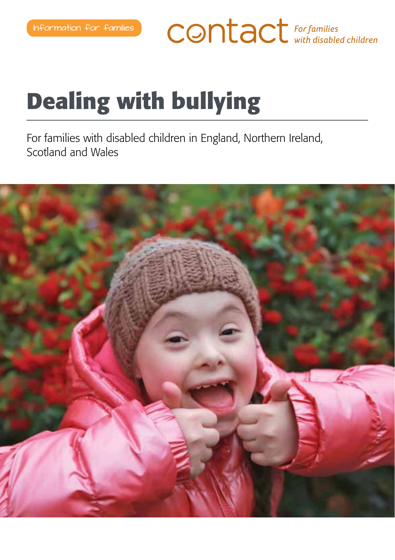**CONTACT** For families

# **Dealing with bullying**

For families with disabled children in England, Northern Ireland, Scotland and Wales

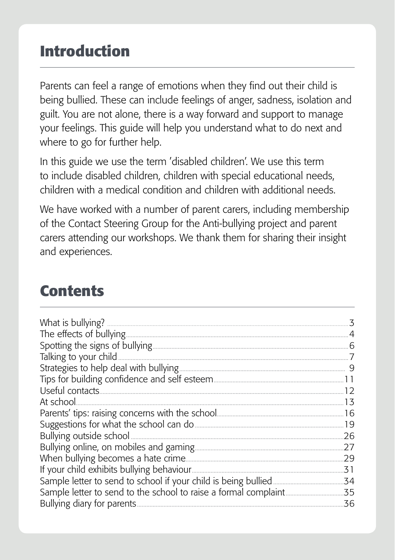### **Introduction**

Parents can feel a range of emotions when they find out their child is being bullied. These can include feelings of anger, sadness, isolation and guilt. You are not alone, there is a way forward and support to manage your feelings. This guide will help you understand what to do next and where to go for further help.

In this guide we use the term 'disabled children'. We use this term to include disabled children, children with special educational needs, children with a medical condition and children with additional needs.

We have worked with a number of parent carers, including membership of the Contact Steering Group for the Anti-bullying project and parent carers attending our workshops. We thank them for sharing their insight and experiences.

### **Contents**

|            | 3   |
|------------|-----|
|            |     |
|            |     |
|            |     |
|            |     |
|            |     |
|            |     |
| At school. | 13  |
|            | .16 |
|            |     |
|            | .26 |
|            | .27 |
|            | .29 |
|            | .31 |
|            | .34 |
|            | .35 |
|            | 36  |
|            |     |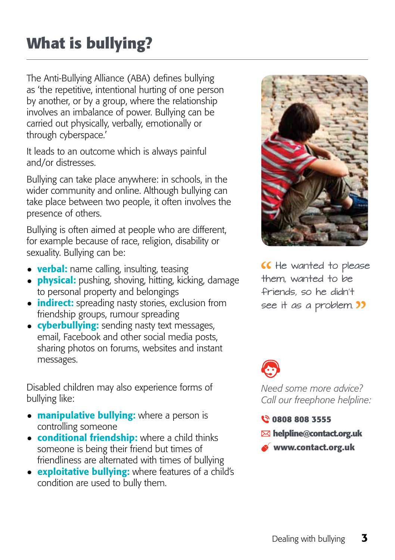## **What is bullying?**

The Anti-Bullying Alliance (ABA) defines bullying as 'the repetitive, intentional hurting of one person by another, or by a group, where the relationship involves an imbalance of power. Bullying can be carried out physically, verbally, emotionally or through cyberspace.'

It leads to an outcome which is always painful and/or distresses.

Bullying can take place anywhere: in schools, in the wider community and online. Although bullying can take place between two people, it often involves the presence of others.

Bullying is often aimed at people who are different, for example because of race, religion, disability or sexuality. Bullying can be:

- **verbal:** name calling, insulting, teasing
- **physical:** pushing, shoving, hitting, kicking, damage to personal property and belongings
- **indirect:** spreading nasty stories, exclusion from friendship groups, rumour spreading
- $\bullet$  cyberbullying: sending nasty text messages, email, Facebook and other social media posts, sharing photos on forums, websites and instant messages.

Disabled children may also experience forms of bullying like:

- $\bullet$  **manipulative bullying:** where a person is controlling someone
- $\bullet$  conditional friendship: where a child thinks someone is being their friend but times of friendliness are alternated with times of bullying
- $\bullet$  **exploitative bullying:** where features of a child's condition are used to bully them.



K He wanted to please them, wanted to be friends, so he didn't see it as a problem. **33** 



*Need some more advice? Call our freephone helpline:*

**0808 808 3555**

- **helpline@contact.org.uk**
- **www.contact.org.uk**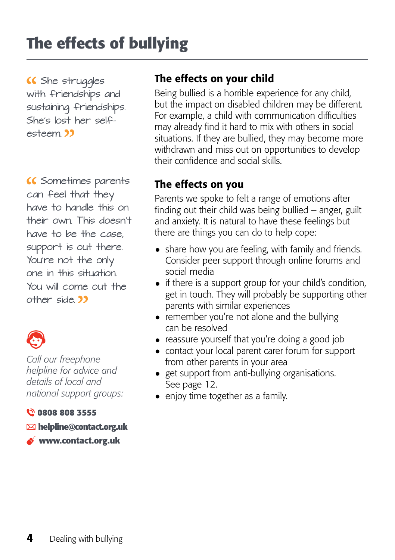### **The effects of bullying**

 She struggles with friendships and sustaining friendships. She's lost her selfesteem <sup>33</sup>

 Sometimes parents can feel that they have to handle this on their own. This doesn't have to be the case, support is out there. You're not the only one in this situation. You will come out the other side. **33** 



*Call our freephone helpline for advice and details of local and national support groups:* 

#### **0808 808 3555**

**helpline@contact.org.uk**

**www.contact.org.uk**

#### The effects on your child

Being bullied is a horrible experience for any child, but the impact on disabled children may be different. For example, a child with communication difficulties may already find it hard to mix with others in social situations. If they are bullied, they may become more withdrawn and miss out on opportunities to develop their confidence and social skills.

#### The effects on you

Parents we spoke to felt a range of emotions after finding out their child was being bullied – anger, guilt and anxiety. It is natural to have these feelings but there are things you can do to help cope:

- share how you are feeling, with family and friends. Consider peer support through online forums and social media
- if there is a support group for your child's condition, get in touch. They will probably be supporting other parents with similar experiences
- remember you're not alone and the bullying can be resolved
- reassure yourself that you're doing a good job
- contact your local parent carer forum for support from other parents in your area
- get support from anti-bullying organisations. See page 12.
- enjoy time together as a family.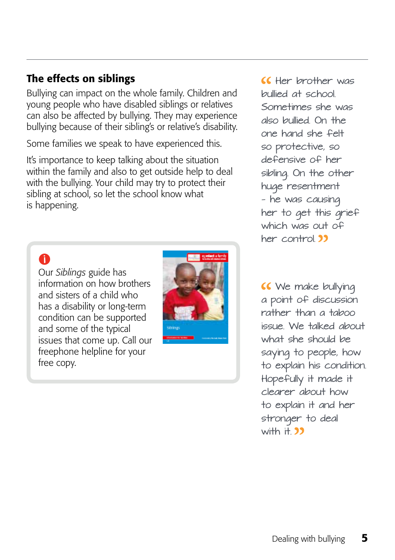#### The effects on siblings

Bullying can impact on the whole family. Children and young people who have disabled siblings or relatives can also be affected by bullying. They may experience bullying because of their sibling's or relative's disability.

Some families we speak to have experienced this.

It's importance to keep talking about the situation within the family and also to get outside help to deal with the bullying. Your child may try to protect their sibling at school, so let the school know what is happening.

#### 0

Our *Siblings* guide has information on how brothers and sisters of a child who has a disability or long-term condition can be supported and some of the typical issues that come up. Call our freephone helpline for your free copy.



CC Her brother was bullied at school. Sometimes she was also bullied. On the one hand she felt so protective, so defensive of her sibling. On the other huge resentment — he was causing her to get this grief which was out of her control.<sup>33</sup>

**K** We make bullying a point of discussion rather than a taboo issue. We talked about what she should be saying to people, how to explain his condition. Hopefully it made it clearer about how to explain it and her stronger to deal with  $H$  33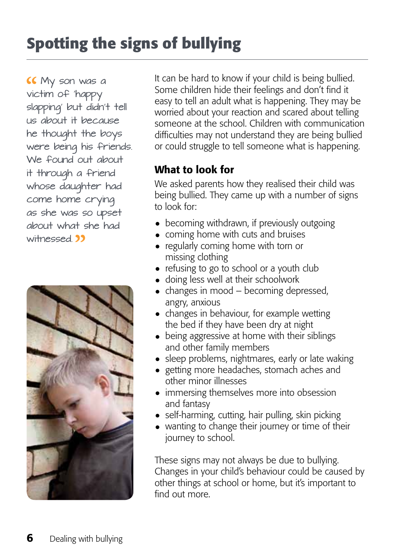## **Spotting the signs of bullying**

 My son was a victim of 'happy slapping' but didn't tell us about it because he thought the boys were being his friends. We found out about it through a friend whose daughter had come home crying as she was so upset about what she had witnessed 11



It can be hard to know if your child is being bullied. Some children hide their feelings and don't find it easy to tell an adult what is happening. They may be worried about your reaction and scared about telling someone at the school. Children with communication difficulties may not understand they are being bullied or could struggle to tell someone what is happening.

#### What to look for

We asked parents how they realised their child was being bullied. They came up with a number of signs to look for:

- becoming withdrawn, if previously outgoing
- coming home with cuts and bruises
- regularly coming home with torn or missing clothing
- refusing to go to school or a youth club
- doing less well at their schoolwork
- $\bullet$  changes in mood becoming depressed, angry, anxious
- changes in behaviour, for example wetting the bed if they have been dry at night
- being aggressive at home with their siblings and other family members
- sleep problems, nightmares, early or late waking
- getting more headaches, stomach aches and other minor illnesses
- immersing themselves more into obsession and fantasy
- self-harming, cutting, hair pulling, skin picking
- wanting to change their journey or time of their journey to school.

These signs may not always be due to bullying. Changes in your child's behaviour could be caused by other things at school or home, but it's important to find out more.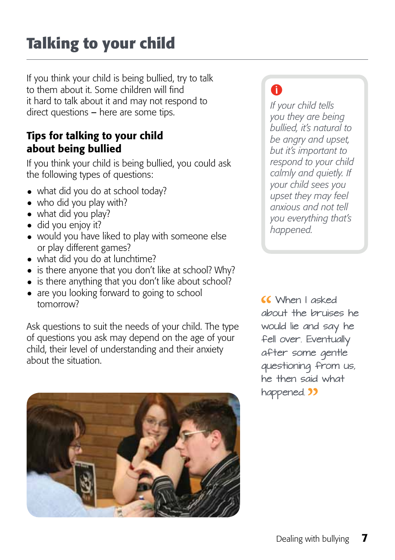## **Talking to your child**

If you think your child is being bullied, try to talk to them about it. Some children will find it hard to talk about it and may not respond to direct questions – here are some tips.

#### Tips for talking to your child about being bullied

If you think your child is being bullied, you could ask the following types of questions:

- what did you do at school today?
- who did you play with?
- what did you play?
- did you enjoy it?
- would you have liked to play with someone else or play different games?
- what did you do at lunchtime?
- $\bullet$  is there anyone that you don't like at school? Why?
- is there anything that you don't like about school?
- are you looking forward to going to school tomorrow?

Ask questions to suit the needs of your child. The type of questions you ask may depend on the age of your child, their level of understanding and their anxiety about the situation.



### A

*If your child tells you they are being bullied, it's natural to be angry and upset, but it's important to respond to your child calmly and quietly. If your child sees you upset they may feel anxious and not tell you everything that's happened.* 

 When I asked about the bruises he would lie and say he fell over. Eventually after some gentle questioning from us, he then said what happened. 22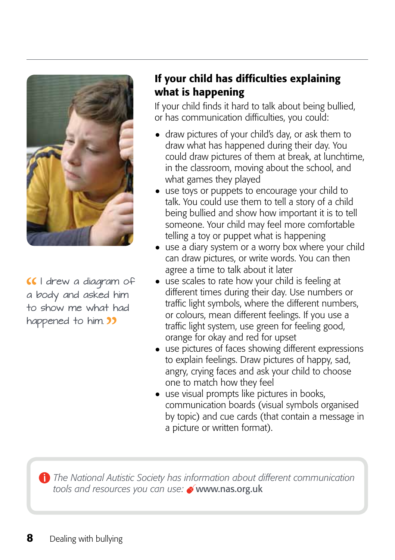

CI drew a diagram of a body and asked him to show me what had happened to him. **33** 

#### If your child has difficulties explaining what is happening

If your child finds it hard to talk about being bullied, or has communication difficulties, you could:

- draw pictures of your child's day, or ask them to draw what has happened during their day. You could draw pictures of them at break, at lunchtime, in the classroom, moving about the school, and what games they played
- use toys or puppets to encourage your child to talk. You could use them to tell a story of a child being bullied and show how important it is to tell someone. Your child may feel more comfortable telling a toy or puppet what is happening
- use a diary system or a worry box where your child can draw pictures, or write words. You can then agree a time to talk about it later
- use scales to rate how your child is feeling at different times during their day. Use numbers or traffic light symbols, where the different numbers, or colours, mean different feelings. If you use a traffic light system, use green for feeling good, orange for okay and red for upset
- use pictures of faces showing different expressions to explain feelings. Draw pictures of happy, sad, angry, crying faces and ask your child to choose one to match how they feel
- use visual prompts like pictures in books, communication boards (visual symbols organised by topic) and cue cards (that contain a message in a picture or written format).

*The National Autistic Society has information about different communication tools and resources you can use:* www.nas.org.uk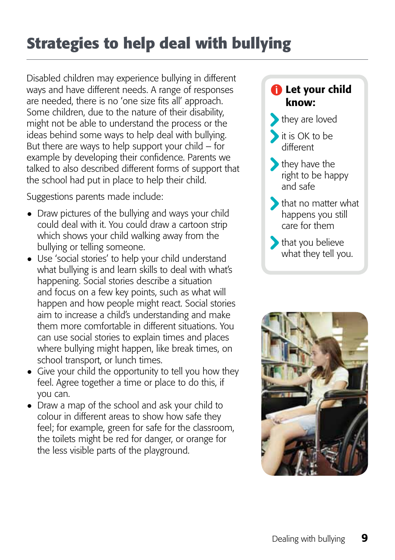## **Strategies to help deal with bullying**

Disabled children may experience bullying in different ways and have different needs. A range of responses are needed, there is no 'one size fits all' approach. Some children, due to the nature of their disability, might not be able to understand the process or the ideas behind some ways to help deal with bullying. But there are ways to help support your child  $-$  for example by developing their confidence. Parents we talked to also described different forms of support that the school had put in place to help their child.

Suggestions parents made include:

- Draw pictures of the bullying and ways your child could deal with it. You could draw a cartoon strip which shows your child walking away from the bullying or telling someone.
- Use 'social stories' to help your child understand what bullying is and learn skills to deal with what's happening. Social stories describe a situation and focus on a few key points, such as what will happen and how people might react. Social stories aim to increase a child's understanding and make them more comfortable in different situations. You can use social stories to explain times and places where bullying might happen, like break times, on school transport, or lunch times.
- Give your child the opportunity to tell you how they feel. Agree together a time or place to do this, if you can.
- Draw a map of the school and ask your child to colour in different areas to show how safe they feel; for example, green for safe for the classroom, the toilets might be red for danger, or orange for the less visible parts of the playground.

#### **f** Let your child know:

- they are loved
- it is OK to be different
- **they have the** right to be happy and safe
- that no matter what happens you still care for them
- **that you believe** what they tell you.

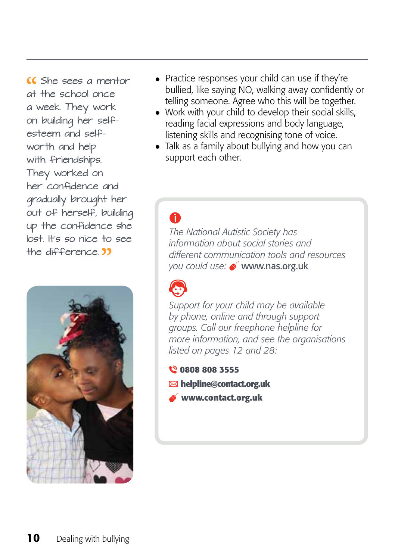She sees a mentor at the school once a week. They work on building her selfesteem and selfworth and help with friendships. They worked on her confidence and gradually brought her out of herself, building up the confidence she lost. It's so nice to see the difference  $\overline{\mathbf{32}}$ 



- Practice responses your child can use if they're bullied, like saying NO, walking away confidently or telling someone. Agree who this will be together.
- Work with your child to develop their social skills, reading facial expressions and body language, listening skills and recognising tone of voice.
- Talk as a family about bullying and how you can support each other.

#### A

*The National Autistic Society has information about social stories and different communication tools and resources you could use:* www.nas.org.uk



*Support for your child may be available by phone, online and through support groups. Call our freephone helpline for more information, and see the organisations listed on pages 12 and 28:*

**0808 808 3555**

- **helpline@contact.org.uk**
- **www.contact.org.uk**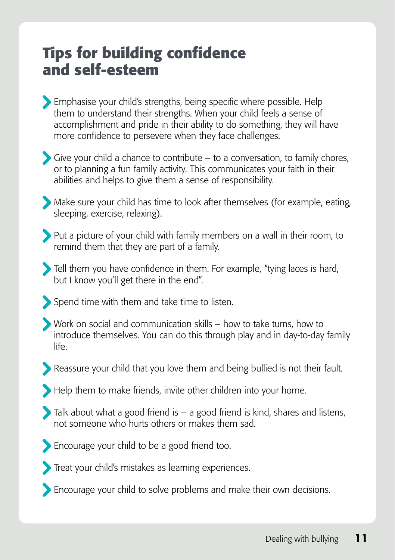### **Tips for building confidence and self-esteem**

- Emphasise your child's strengths, being specific where possible. Help them to understand their strengths. When your child feels a sense of accomplishment and pride in their ability to do something, they will have more confidence to persevere when they face challenges.
- Give your child a chance to contribute  $-$  to a conversation, to family chores, or to planning a fun family activity. This communicates your faith in their abilities and helps to give them a sense of responsibility.
- Make sure your child has time to look after themselves (for example, eating, sleeping, exercise, relaxing).
- Put a picture of your child with family members on a wall in their room, to remind them that they are part of a family.
- Tell them you have confidence in them. For example, "tying laces is hard, but I know you'll get there in the end".
- Spend time with them and take time to listen.
- Work on social and communication skills how to take turns, how to introduce themselves. You can do this through play and in day-to-day family life.
- Reassure your child that you love them and being bullied is not their fault.
- Help them to make friends, invite other children into your home.
- $\sum$  Talk about what a good friend is  $-$  a good friend is kind, shares and listens, not someone who hurts others or makes them sad.
- Encourage your child to be a good friend too.
- Treat your child's mistakes as learning experiences.
- Encourage your child to solve problems and make their own decisions.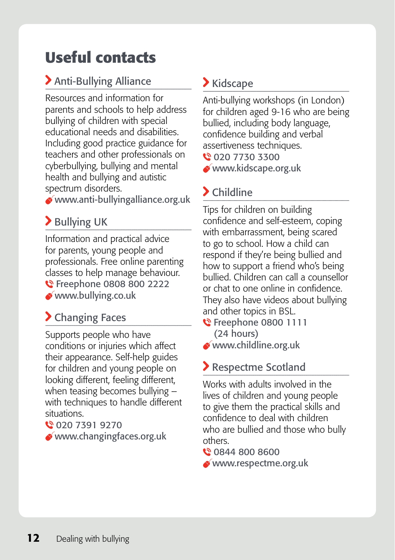### **Useful contacts**

#### Anti-Bullying Alliance

Resources and information for parents and schools to help address bullying of children with special educational needs and disabilities. Including good practice guidance for teachers and other professionals on cyberbullying, bullying and mental health and bullying and autistic spectrum disorders.

www.anti-bullyingalliance.org.uk

#### > Bullying UK

Information and practical advice for parents, young people and professionals. Free online parenting classes to help manage behaviour. **€** Freephone 0808 800 2222 www.bullying.co.uk

### > Changing Faces

Supports people who have conditions or injuries which affect their appearance. Self-help guides for children and young people on looking different, feeling different, when teasing becomes bullying – with techniques to handle different situations.

#### 020 7391 9270

www.changingfaces.org.uk

### Kidscape

Anti-bullying workshops (in London) for children aged 9-16 who are being bullied, including body language, confidence building and verbal assertiveness techniques.

020 7730 3300

www.kidscape.org.uk

### Childline

Tips for children on building confidence and self-esteem, coping with embarrassment, being scared to go to school. How a child can respond if they're being bullied and how to support a friend who's being bullied. Children can call a counsellor or chat to one online in confidence. They also have videos about bullying and other topics in BSL.

**€** Freephone 0800 1111 (24 hours)

www.childline.org.uk

### Respectme Scotland

Works with adults involved in the lives of children and young people to give them the practical skills and confidence to deal with children who are bullied and those who bully others.

**€ 0844 800 8600** 

www.respectme.org.uk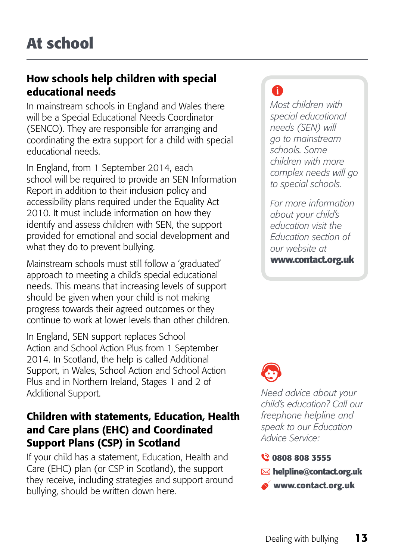#### How schools help children with special educational needs

In mainstream schools in England and Wales there will be a Special Educational Needs Coordinator (SENCO). They are responsible for arranging and coordinating the extra support for a child with special educational needs.

In England, from 1 September 2014, each school will be required to provide an SEN Information Report in addition to their inclusion policy and accessibility plans required under the Equality Act 2010. It must include information on how they identify and assess children with SEN, the support provided for emotional and social development and what they do to prevent bullying.

Mainstream schools must still follow a 'graduated' approach to meeting a child's special educational needs. This means that increasing levels of support should be given when your child is not making progress towards their agreed outcomes or they continue to work at lower levels than other children.

In England, SEN support replaces School Action and School Action Plus from 1 September 2014. In Scotland, the help is called Additional Support, in Wales, School Action and School Action Plus and in Northern Ireland, Stages 1 and 2 of Additional Support.

#### Children with statements, Education, Health and Care plans (EHC) and Coordinated Support Plans (CSP) in Scotland

If your child has a statement, Education, Health and Care (EHC) plan (or CSP in Scotland), the support they receive, including strategies and support around bullying, should be written down here.

### A

*Most children with special educational needs (SEN) will go to mainstream schools. Some children with more complex needs will go to special schools.* 

*For more information about your child's education visit the Education section of our website at* **www.contact.org.uk** 



*Need advice about your child's education? Call our freephone helpline and speak to our Education Advice Service:*

- **0808 808 3555**
- **helpline@contact.org.uk**
- **www.contact.org.uk**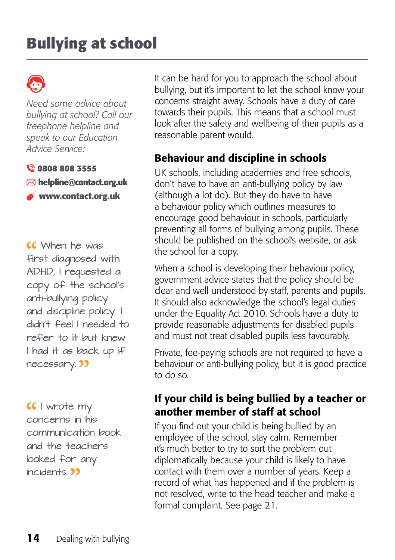### **Bullying at school**

*Need some advice about bullying at school? Call our freephone helpline and speak to our Education Advice Service:*

**0808 808 3555**

**helpline@contact.org.uk**

**www.contact.org.uk**

 When he was first diagnosed with ADHD, I requested a copy of the school's anti-bullying policy and discipline policy. I didn't feel I needed to refer to it but knew I had it as back up if necessary.<sup>33</sup>

CC I wrote my concerns in his communication book and the teachers looked for any incidents.<sup>33</sup>

It can be hard for you to approach the school about bullying, but it's important to let the school know your concerns straight away. Schools have a duty of care towards their pupils. This means that a school must look after the safety and wellbeing of their pupils as a reasonable parent would.

#### Behaviour and discipline in schools

UK schools, including academies and free schools, don't have to have an anti-bullying policy by law (although a lot do). But they do have to have a behaviour policy which outlines measures to encourage good behaviour in schools, particularly preventing all forms of bullying among pupils. These should be published on the school's website, or ask the school for a copy.

When a school is developing their behaviour policy, government advice states that the policy should be clear and well understood by staff, parents and pupils. It should also acknowledge the school's legal duties under the Equality Act 2010. Schools have a duty to provide reasonable adjustments for disabled pupils and must not treat disabled pupils less favourably.

Private, fee-paying schools are not required to have a behaviour or anti-bullying policy, but it is good practice to do so.

#### If your child is being bullied by a teacher or another member of staff at school

If you find out your child is being bullied by an employee of the school, stay calm. Remember it's much better to try to sort the problem out diplomatically because your child is likely to have contact with them over a number of years. Keep a record of what has happened and if the problem is not resolved, write to the head teacher and make a formal complaint. See page 21.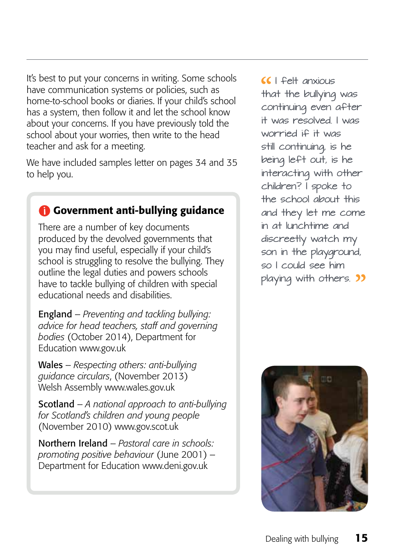It's best to put your concerns in writing. Some schools have communication systems or policies, such as home-to-school books or diaries. If your child's school has a system, then follow it and let the school know about your concerns. If you have previously told the school about your worries, then write to the head teacher and ask for a meeting.

We have included samples letter on pages 34 and 35 to help you.

#### Government anti-bullying guidance

There are a number of key documents produced by the devolved governments that you may find useful, especially if your child's school is struggling to resolve the bullying. They outline the legal duties and powers schools have to tackle bullying of children with special educational needs and disabilities.

England – *Preventing and tackling bullying: advice for head teachers, staff and governing bodies* (October 2014), Department for Education www.gov.uk

Wales – *Respecting others: anti-bullying guidance circulars*, (November 2013) Welsh Assembly www.wales.gov.uk

Scotland – *A national approach to anti-bullying for Scotland's children and young people* (November 2010) www.gov.scot.uk

Northern Ireland – *Pastoral care in schools: promoting positive behaviour* (June 2001) – Department for Education www.deni.gov.uk

 I felt anxious that the bullying was continuing even after it was resolved. I was worried if it was still continuing, is he being left out, is he interacting with other children? I spoke to the school about this and they let me come in at lunchtime and discreetly watch my son in the playground, so I could see him playing with others. **33** 

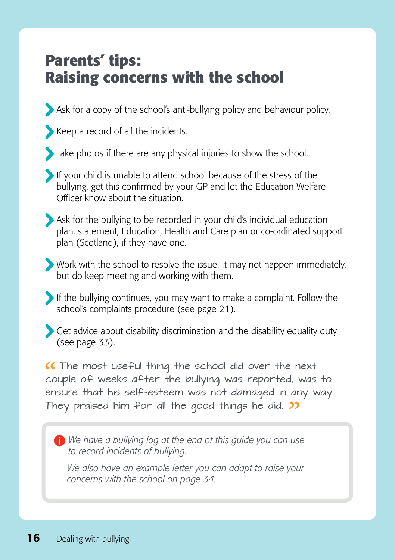### **Parents' tips: Raising concerns with the school**

Ask for a copy of the school's anti-bullying policy and behaviour policy.

Keep a record of all the incidents.

Take photos if there are any physical injuries to show the school.

If your child is unable to attend school because of the stress of the bullying, get this confirmed by your GP and let the Education Welfare Officer know about the situation.

Ask for the bullying to be recorded in your child's individual education plan, statement, Education, Health and Care plan or co-ordinated support plan (Scotland), if they have one.

Work with the school to resolve the issue. It may not happen immediately, but do keep meeting and working with them.

If the bullying continues, you may want to make a complaint. Follow the school's complaints procedure (see page 21).

Get advice about disability discrimination and the disability equality duty (see page 33).

The most useful thing the school did over the next couple of weeks after the bullying was reported, was to ensure that his self-esteem was not damaged in any way. They praised him for all the good things he did. **33** 

*We have a bullying log at the end of this guide you can use to record incidents of bullying.*

 *We also have an example letter you can adapt to raise your concerns with the school on page 34.*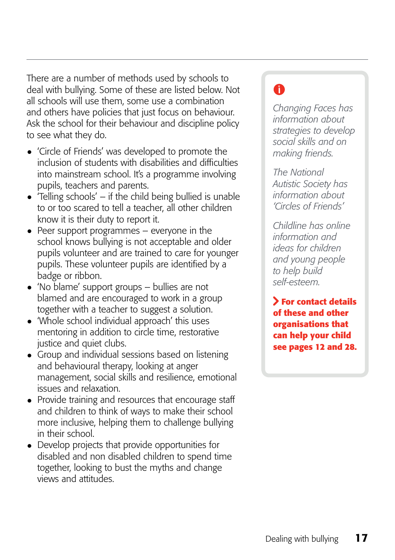There are a number of methods used by schools to deal with bullying. Some of these are listed below. Not all schools will use them, some use a combination and others have policies that just focus on behaviour. Ask the school for their behaviour and discipline policy to see what they do.

- 'Circle of Friends' was developed to promote the inclusion of students with disabilities and difficulties into mainstream school. It's a programme involving pupils, teachers and parents.
- $\bullet$  'Telling schools' if the child being bullied is unable to or too scared to tell a teacher, all other children know it is their duty to report it.
- Peer support programmes  $-$  everyone in the school knows bullying is not acceptable and older pupils volunteer and are trained to care for younger pupils. These volunteer pupils are identified by a badge or ribbon.
- 'No blame' support groups  $-$  bullies are not blamed and are encouraged to work in a group together with a teacher to suggest a solution.
- • 'Whole school individual approach' this uses mentoring in addition to circle time, restorative justice and quiet clubs.
- Group and individual sessions based on listening and behavioural therapy, looking at anger management, social skills and resilience, emotional issues and relaxation.
- Provide training and resources that encourage staff and children to think of ways to make their school more inclusive, helping them to challenge bullying in their school.
- Develop projects that provide opportunities for disabled and non disabled children to spend time together, looking to bust the myths and change views and attitudes.

### A

*Changing Faces has information about strategies to develop social skills and on making friends.*

*The National Autistic Society has information about 'Circles of Friends'*

*Childline has online information and ideas for children and young people to help build self-esteem.* 

**For contact details of these and other organisations that can help your child see pages 12 and 28.**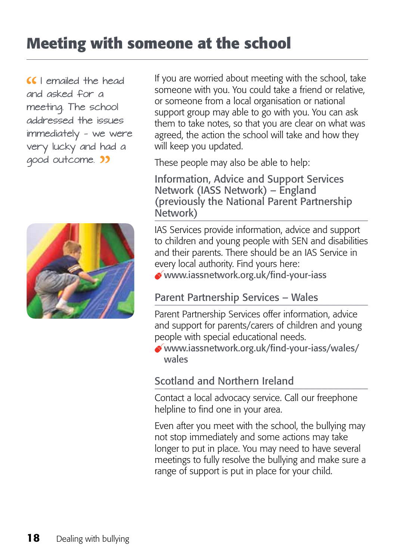### **Meeting with someone at the school**

CC I emailed the head and asked for a meeting. The school addressed the issues immediately — we were very lucky and had a good outcome. 33



If you are worried about meeting with the school, take someone with you. You could take a friend or relative, or someone from a local organisation or national support group may able to go with you. You can ask them to take notes, so that you are clear on what was agreed, the action the school will take and how they will keep you updated.

These people may also be able to help:

Information, Advice and Support Services Network (IASS Network) – England (previously the National Parent Partnership Network)

IAS Services provide information, advice and support to children and young people with SEN and disabilities and their parents. There should be an IAS Service in every local authority. Find yours here:

www.iassnetwork.org.uk/find-your-iass

#### Parent Partnership Services – Wales

Parent Partnership Services offer information, advice and support for parents/carers of children and young people with special educational needs.

www.iassnetwork.org.uk/find-your-iass/wales/ wales

#### Scotland and Northern Ireland

Contact a local advocacy service. Call our freephone helpline to find one in your area.

Even after you meet with the school, the bullying may not stop immediately and some actions may take longer to put in place. You may need to have several meetings to fully resolve the bullying and make sure a range of support is put in place for your child.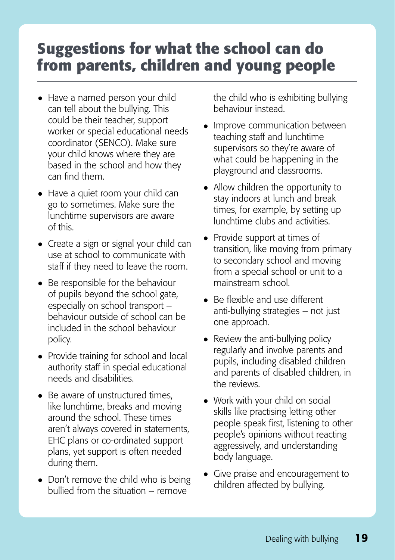### **Suggestions for what the school can do from parents, children and young people**

- Have a named person your child can tell about the bullying. This could be their teacher, support worker or special educational needs coordinator (SENCO). Make sure your child knows where they are based in the school and how they can find them.
- Have a quiet room your child can go to sometimes. Make sure the lunchtime supervisors are aware of this.
- Create a sign or signal your child can use at school to communicate with staff if they need to leave the room.
- Be responsible for the behaviour of pupils beyond the school gate, especially on school transport – behaviour outside of school can be included in the school behaviour policy.
- Provide training for school and local authority staff in special educational needs and disabilities.
- Be aware of unstructured times. like lunchtime, breaks and moving around the school. These times aren't always covered in statements, EHC plans or co-ordinated support plans, yet support is often needed during them.
- Don't remove the child who is being bullied from the situation – remove

the child who is exhibiting bullying behaviour instead.

- Improve communication between teaching staff and lunchtime supervisors so they're aware of what could be happening in the playground and classrooms.
- Allow children the opportunity to stay indoors at lunch and break times, for example, by setting up lunchtime clubs and activities.
- Provide support at times of transition, like moving from primary to secondary school and moving from a special school or unit to a mainstream school.
- Be flexible and use different anti-bullying strategies – not just one approach.
- Review the anti-bullying policy regularly and involve parents and pupils, including disabled children and parents of disabled children, in the reviews.
- Work with your child on social skills like practising letting other people speak first, listening to other people's opinions without reacting aggressively, and understanding body language.
- • Give praise and encouragement to children affected by bullying.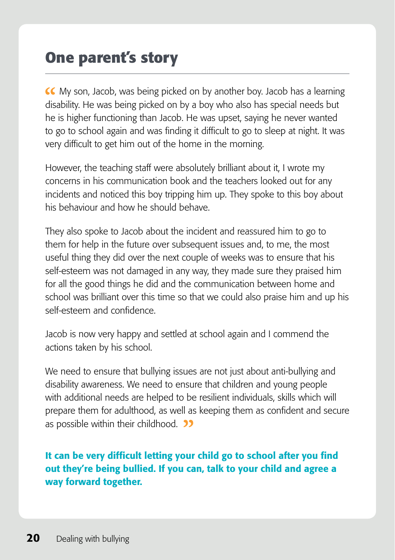### **One parent's story**

My son, Jacob, was being picked on by another boy. Jacob has a learning disability. He was being picked on by a boy who also has special needs but he is higher functioning than Jacob. He was upset, saying he never wanted to go to school again and was finding it difficult to go to sleep at night. It was very difficult to get him out of the home in the morning.

However, the teaching staff were absolutely brilliant about it, I wrote my concerns in his communication book and the teachers looked out for any incidents and noticed this boy tripping him up. They spoke to this boy about his behaviour and how he should behave.

They also spoke to Jacob about the incident and reassured him to go to them for help in the future over subsequent issues and, to me, the most useful thing they did over the next couple of weeks was to ensure that his self-esteem was not damaged in any way, they made sure they praised him for all the good things he did and the communication between home and school was brilliant over this time so that we could also praise him and up his self-esteem and confidence.

Jacob is now very happy and settled at school again and I commend the actions taken by his school.

We need to ensure that bullying issues are not just about anti-bullying and disability awareness. We need to ensure that children and young people with additional needs are helped to be resilient individuals, skills which will prepare them for adulthood, as well as keeping them as confident and secure as possible within their childhood. **33** 

It can be very difficult letting your child go to school after you find out they're being bullied. If you can, talk to your child and agree a way forward together.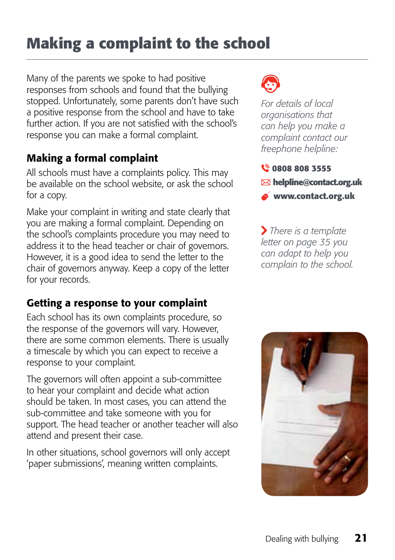### **Making a complaint to the school**

Many of the parents we spoke to had positive responses from schools and found that the bullying stopped. Unfortunately, some parents don't have such a positive response from the school and have to take further action. If you are not satisfied with the school's response you can make a formal complaint.

#### Making a formal complaint

All schools must have a complaints policy. This may be available on the school website, or ask the school for a copy.

Make your complaint in writing and state clearly that you are making a formal complaint. Depending on the school's complaints procedure you may need to address it to the head teacher or chair of governors. However, it is a good idea to send the letter to the chair of governors anyway. Keep a copy of the letter for your records.

#### Getting a response to your complaint

Each school has its own complaints procedure, so the response of the governors will vary. However, there are some common elements. There is usually a timescale by which you can expect to receive a response to your complaint.

The governors will often appoint a sub-committee to hear your complaint and decide what action should be taken. In most cases, you can attend the sub-committee and take someone with you for support. The head teacher or another teacher will also attend and present their case.

In other situations, school governors will only accept 'paper submissions', meaning written complaints.



*For details of local organisations that can help you make a complaint contact our freephone helpline:*

- **0808 808 3555**
- **helpline@contact.org.uk**
- **www.contact.org.uk**

 *There is a template letter on page 35 you can adapt to help you complain to the school.*

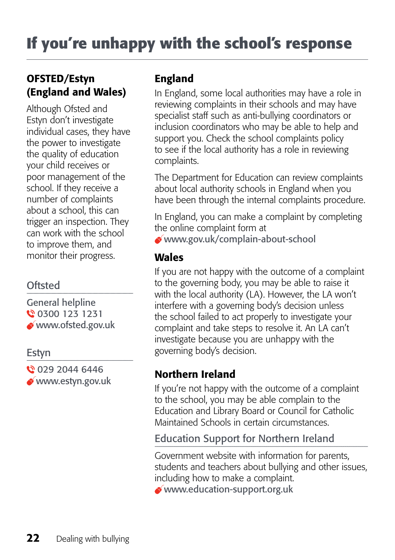#### OFSTED/Estyn (England and Wales)

Although Ofsted and Estyn don't investigate individual cases, they have the power to investigate the quality of education your child receives or poor management of the school. If they receive a number of complaints about a school, this can trigger an inspection. They can work with the school to improve them, and monitor their progress.

#### **Oftsted**

General helpline **0** 0300 123 1231 www.ofsted.gov.uk

#### Estyn

**0** 029 2044 6446 www.estyn.gov.uk

#### England

In England, some local authorities may have a role in reviewing complaints in their schools and may have specialist staff such as anti-bullying coordinators or inclusion coordinators who may be able to help and support you. Check the school complaints policy to see if the local authority has a role in reviewing complaints.

The Department for Education can review complaints about local authority schools in England when you have been through the internal complaints procedure.

In England, you can make a complaint by completing the online complaint form at

www.gov.uk/complain-about-school

#### Wales

If you are not happy with the outcome of a complaint to the governing body, you may be able to raise it with the local authority (LA). However, the LA won't interfere with a governing body's decision unless the school failed to act properly to investigate your complaint and take steps to resolve it. An LA can't investigate because you are unhappy with the governing body's decision.

#### Northern Ireland

If you're not happy with the outcome of a complaint to the school, you may be able complain to the Education and Library Board or Council for Catholic Maintained Schools in certain circumstances.

#### Education Support for Northern Ireland

Government website with information for parents, students and teachers about bullying and other issues, including how to make a complaint.

www.education-support.org.uk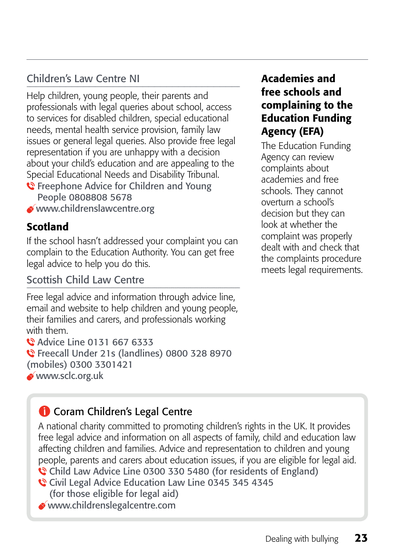#### Children's Law Centre NI

Help children, young people, their parents and professionals with legal queries about school, access to services for disabled children, special educational needs, mental health service provision, family law issues or general legal queries. Also provide free legal representation if you are unhappy with a decision about your child's education and are appealing to the Special Educational Needs and Disability Tribunal. **€** Freephone Advice for Children and Young

- People 0808808 5678
- www.childrenslawcentre.org

#### Scotland

If the school hasn't addressed your complaint you can complain to the Education Authority. You can get free legal advice to help you do this.

#### Scottish Child Law Centre

Free legal advice and information through advice line, email and website to help children and young people, their families and carers, and professionals working with them. **Advice Line 0131 667 6333** 

Freecall Under 21s (landlines) 0800 328 8970 (mobiles) 0300 3301421 www.sclc.org.uk

#### Academies and free schools and complaining to the Education Funding Agency (EFA)

The Education Funding Agency can review complaints about academies and free schools. They cannot overturn a school's decision but they can look at whether the complaint was properly dealt with and check that the complaints procedure meets legal requirements.

#### **Coram Children's Legal Centre**

A national charity committed to promoting children's rights in the UK. It provides free legal advice and information on all aspects of family, child and education law affecting children and families. Advice and representation to children and young people, parents and carers about education issues, if you are eligible for legal aid. Child Law Advice Line 0300 330 5480 (for residents of England)

- Civil Legal Advice Education Law Line 0345 345 4345 (for those eligible for legal aid)
- www.childrenslegalcentre.com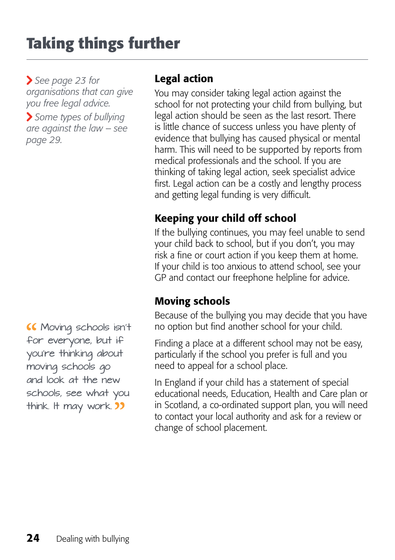## **Taking things further**

 *See page 23 for organisations that can give you free legal advice.* 

 *Some types of bullying are against the law* – *see page 29.*

 Moving schools isn't for everyone, but if you're thinking about moving schools go and look at the new schools, see what you think. It may work. **33** 

#### Legal action

You may consider taking legal action against the school for not protecting your child from bullying, but legal action should be seen as the last resort. There is little chance of success unless you have plenty of evidence that bullying has caused physical or mental harm. This will need to be supported by reports from medical professionals and the school. If you are thinking of taking legal action, seek specialist advice first. Legal action can be a costly and lengthy process and getting legal funding is very difficult.

#### Keeping your child off school

If the bullying continues, you may feel unable to send your child back to school, but if you don't, you may risk a fine or court action if you keep them at home. If your child is too anxious to attend school, see your GP and contact our freephone helpline for advice.

#### Moving schools

Because of the bullying you may decide that you have no option but find another school for your child.

Finding a place at a different school may not be easy, particularly if the school you prefer is full and you need to appeal for a school place.

In England if your child has a statement of special educational needs, Education, Health and Care plan or in Scotland, a co-ordinated support plan, you will need to contact your local authority and ask for a review or change of school placement.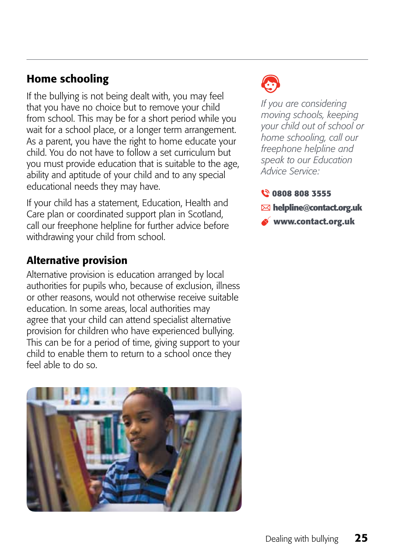#### Home schooling

If the bullying is not being dealt with, you may feel that you have no choice but to remove your child from school. This may be for a short period while you wait for a school place, or a longer term arrangement. As a parent, you have the right to home educate your child. You do not have to follow a set curriculum but you must provide education that is suitable to the age, ability and aptitude of your child and to any special educational needs they may have.

If your child has a statement, Education, Health and Care plan or coordinated support plan in Scotland, call our freephone helpline for further advice before withdrawing your child from school.

#### Alternative provision

Alternative provision is education arranged by local authorities for pupils who, because of exclusion, illness or other reasons, would not otherwise receive suitable education. In some areas, local authorities may agree that your child can attend specialist alternative provision for children who have experienced bullying. This can be for a period of time, giving support to your child to enable them to return to a school once they feel able to do so.





*If you are considering moving schools, keeping your child out of school or home schooling, call our freephone helpline and speak to our Education Advice Service:*

#### **0808 808 3555**

- **helpline@contact.org.uk**
- **www.contact.org.uk**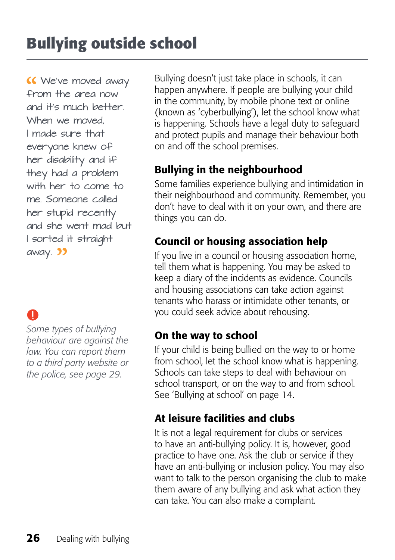**K** We've moved away from the area now and it's much better. When we moved, I made sure that everyone knew of her disability and if they had a problem with her to come to me. Someone called her stupid recently and she went mad but I sorted it straight away. 22

### O

*Some types of bullying behaviour are against the law. You can report them to a third party website or the police, see page 29.* 

Bullying doesn't just take place in schools, it can happen anywhere. If people are bullying your child in the community, by mobile phone text or online (known as 'cyberbullying'), let the school know what is happening. Schools have a legal duty to safeguard and protect pupils and manage their behaviour both on and off the school premises.

#### Bullying in the neighbourhood

Some families experience bullying and intimidation in their neighbourhood and community. Remember, you don't have to deal with it on your own, and there are things you can do.

#### Council or housing association help

If you live in a council or housing association home, tell them what is happening. You may be asked to keep a diary of the incidents as evidence. Councils and housing associations can take action against tenants who harass or intimidate other tenants, or you could seek advice about rehousing.

#### On the way to school

If your child is being bullied on the way to or home from school, let the school know what is happening. Schools can take steps to deal with behaviour on school transport, or on the way to and from school. See 'Bullying at school' on page 14.

#### At leisure facilities and clubs

It is not a legal requirement for clubs or services to have an anti-bullying policy. It is, however, good practice to have one. Ask the club or service if they have an anti-bullying or inclusion policy. You may also want to talk to the person organising the club to make them aware of any bullying and ask what action they can take. You can also make a complaint.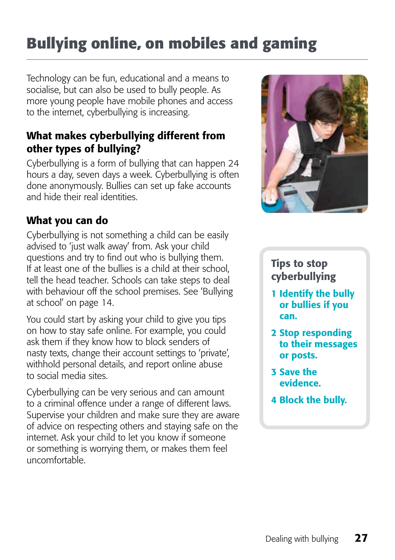### **Bullying online, on mobiles and gaming**

Technology can be fun, educational and a means to socialise, but can also be used to bully people. As more young people have mobile phones and access to the internet, cyberbullying is increasing.

#### What makes cyberbullying different from other types of bullying?

Cyberbullying is a form of bullying that can happen 24 hours a day, seven days a week. Cyberbullying is often done anonymously. Bullies can set up fake accounts and hide their real identities.

#### What you can do

Cyberbullying is not something a child can be easily advised to 'just walk away' from. Ask your child questions and try to find out who is bullying them. If at least one of the bullies is a child at their school, tell the head teacher. Schools can take steps to deal with behaviour off the school premises. See 'Bullying at school' on page 14.

You could start by asking your child to give you tips on how to stay safe online. For example, you could ask them if they know how to block senders of nasty texts, change their account settings to 'private', withhold personal details, and report online abuse to social media sites.

Cyberbullying can be very serious and can amount to a criminal offence under a range of different laws. Supervise your children and make sure they are aware of advice on respecting others and staying safe on the internet. Ask your child to let you know if someone or something is worrying them, or makes them feel uncomfortable.



#### Tips to stop cyberbullying

- 1 Identify the bully or bullies if you can.
- 2 Stop responding to their messages or posts.
- 3 Save the evidence.
- 4 Block the bully.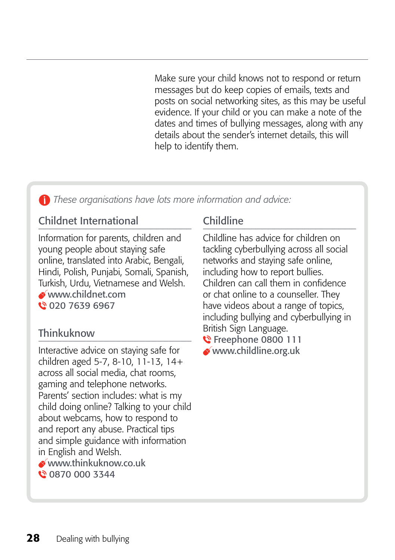Make sure your child knows not to respond or return messages but do keep copies of emails, texts and posts on social networking sites, as this may be useful evidence. If your child or you can make a note of the dates and times of bullying messages, along with any details about the sender's internet details, this will help to identify them.

 *These organisations have lots more information and advice:*

#### Childnet International

Information for parents, children and young people about staying safe online, translated into Arabic, Bengali, Hindi, Polish, Punjabi, Somali, Spanish, Turkish, Urdu, Vietnamese and Welsh. www.childnet.com € 020 7639 6967

#### **Thinkuknow**

Interactive advice on staying safe for children aged 5-7, 8-10, 11-13, 14+ across all social media, chat rooms, gaming and telephone networks. Parents' section includes: what is my child doing online? Talking to your child about webcams, how to respond to and report any abuse. Practical tips and simple guidance with information in English and Welsh. www.thinkuknow.co.uk **12 0870 000 3344** 

#### Childline

Childline has advice for children on tackling cyberbullying across all social networks and staying safe online, including how to report bullies. Children can call them in confidence or chat online to a counseller. They have videos about a range of topics, including bullying and cyberbullying in British Sign Language.

**€** Freephone 0800 111 www.childline.org.uk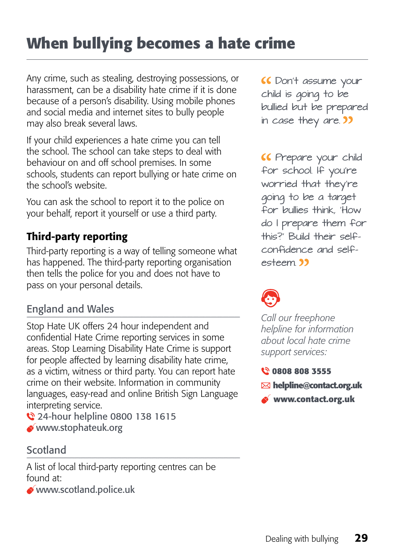### **When bullying becomes a hate crime**

Any crime, such as stealing, destroying possessions, or harassment, can be a disability hate crime if it is done because of a person's disability. Using mobile phones and social media and internet sites to bully people may also break several laws.

If your child experiences a hate crime you can tell the school. The school can take steps to deal with behaviour on and off school premises. In some schools, students can report bullying or hate crime on the school's website.

You can ask the school to report it to the police on your behalf, report it yourself or use a third party.

#### Third-party reporting

Third-party reporting is a way of telling someone what has happened. The third-party reporting organisation then tells the police for you and does not have to pass on your personal details.

#### England and Wales

Stop Hate UK offers 24 hour independent and confidential Hate Crime reporting services in some areas. Stop Learning Disability Hate Crime is support for people affected by learning disability hate crime, as a victim, witness or third party. You can report hate crime on their website. Information in community languages, easy-read and online British Sign Language interpreting service.

24-hour helpline 0800 138 1615 www.stophateuk.org

#### Scotland

A list of local third-party reporting centres can be found at:

www.scotland.police.uk

 Don't assume your child is going to be bullied but be prepared in case they are. **39** 

 Prepare your child for school. If you're worried that they're going to be a target for bullies think, 'How do I prepare them for this?' Build their selfconfidence and selfesteem **39** 

*Call our freephone helpline for information about local hate crime support services:*

#### **0808 808 3555**

- **helpline@contact.org.uk**
- **www.contact.org.uk**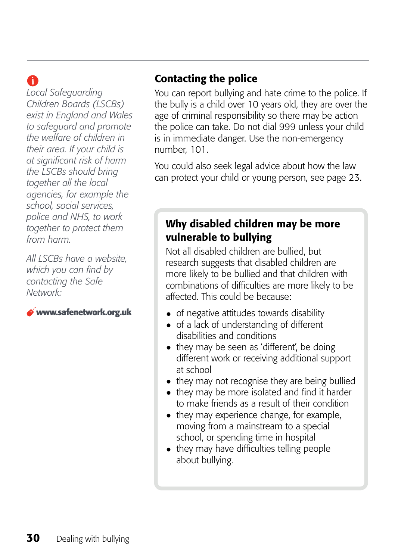### A

*Local Safeguarding Children Boards (LSCBs) exist in England and Wales to safeguard and promote the welfare of children in their area. If your child is at significant risk of harm the LSCBs should bring together all the local agencies, for example the school, social services, police and NHS, to work together to protect them from harm.* 

*All LSCBs have a website, which you can find by contacting the Safe Network:*

#### **www.safenetwork.org.uk**

#### Contacting the police

You can report bullying and hate crime to the police. If the bully is a child over 10 years old, they are over the age of criminal responsibility so there may be action the police can take. Do not dial 999 unless your child is in immediate danger. Use the non-emergency number, 101.

You could also seek legal advice about how the law can protect your child or young person, see page 23.

#### Why disabled children may be more vulnerable to bullying

Not all disabled children are bullied, but research suggests that disabled children are more likely to be bullied and that children with combinations of difficulties are more likely to be affected. This could be because:

- of negative attitudes towards disability
- of a lack of understanding of different disabilities and conditions
- they may be seen as 'different', be doing different work or receiving additional support at school
- they may not recognise they are being bullied
- they may be more isolated and find it harder to make friends as a result of their condition
- they may experience change, for example, moving from a mainstream to a special school, or spending time in hospital
- they may have difficulties telling people about bullying.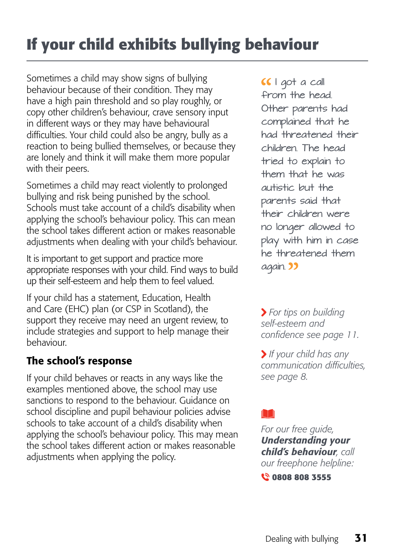### **If your child exhibits bullying behaviour**

Sometimes a child may show signs of bullying behaviour because of their condition. They may have a high pain threshold and so play roughly, or copy other children's behaviour, crave sensory input in different ways or they may have behavioural difficulties. Your child could also be angry, bully as a reaction to being bullied themselves, or because they are lonely and think it will make them more popular with their peers.

Sometimes a child may react violently to prolonged bullying and risk being punished by the school. Schools must take account of a child's disability when applying the school's behaviour policy. This can mean the school takes different action or makes reasonable adjustments when dealing with your child's behaviour.

It is important to get support and practice more appropriate responses with your child. Find ways to build up their self-esteem and help them to feel valued.

If your child has a statement, Education, Health and Care (EHC) plan (or CSP in Scotland), the support they receive may need an urgent review, to include strategies and support to help manage their behaviour.

#### The school's response

If your child behaves or reacts in any ways like the examples mentioned above, the school may use sanctions to respond to the behaviour. Guidance on school discipline and pupil behaviour policies advise schools to take account of a child's disability when applying the school's behaviour policy. This may mean the school takes different action or makes reasonable adjustments when applying the policy.

CCI got a call from the head. Other parents had complained that he had threatened their children. The head tried to explain to them that he was autistic but the parents said that their children were no longer allowed to play with him in case he threatened them again. 33

 *For tips on building self-esteem and confidence see page 11.* 

 *If your child has any communication difficulties, see page 8.*

*For our free guide, Understanding your child's behaviour, call our freephone helpline:* **0808 808 3555**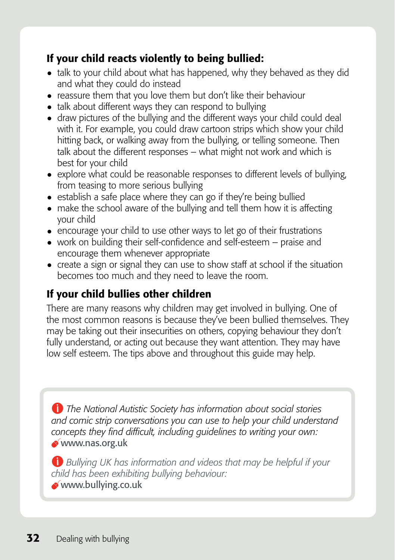#### If your child reacts violently to being bullied:

- talk to your child about what has happened, why they behaved as they did and what they could do instead
- reassure them that you love them but don't like their behaviour
- talk about different ways they can respond to bullying
- draw pictures of the bullying and the different ways your child could deal with it. For example, you could draw cartoon strips which show your child hitting back, or walking away from the bullying, or telling someone. Then talk about the different responses – what might not work and which is best for your child
- explore what could be reasonable responses to different levels of bullying, from teasing to more serious bullying
- establish a safe place where they can go if they're being bullied
- make the school aware of the bullying and tell them how it is affecting your child
- encourage your child to use other ways to let go of their frustrations
- work on building their self-confidence and self-esteem praise and encourage them whenever appropriate
- create a sign or signal they can use to show staff at school if the situation becomes too much and they need to leave the room.

#### If your child bullies other children

There are many reasons why children may get involved in bullying. One of the most common reasons is because they've been bullied themselves. They may be taking out their insecurities on others, copying behaviour they don't fully understand, or acting out because they want attention. They may have low self esteem. The tips above and throughout this guide may help.

*The National Autistic Society has information about social stories and comic strip conversations you can use to help your child understand concepts they find difficult, including guidelines to writing your own:*  www.nas.org.uk

*Bullying UK has information and videos that may be helpful if your child has been exhibiting bullying behaviour:* www.bullying.co.uk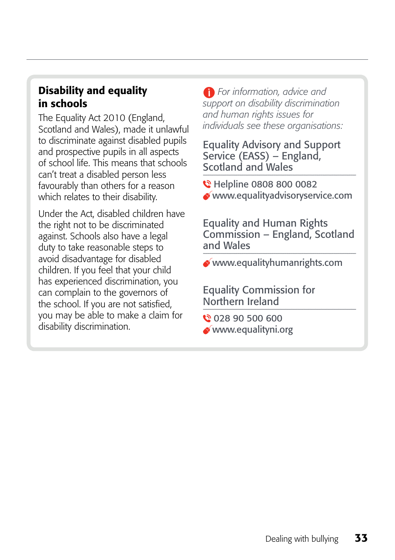#### Disability and equality in schools

The Equality Act 2010 (England, Scotland and Wales), made it unlawful to discriminate against disabled pupils and prospective pupils in all aspects of school life. This means that schools can't treat a disabled person less favourably than others for a reason which relates to their disability.

Under the Act, disabled children have the right not to be discriminated against. Schools also have a legal duty to take reasonable steps to avoid disadvantage for disabled children. If you feel that your child has experienced discrimination, you can complain to the governors of the school. If you are not satisfied, you may be able to make a claim for disability discrimination.

 *For information, advice and support on disability discrimination and human rights issues for individuals see these organisations:*

Equality Advisory and Support Service (EASS) – England, Scotland and Wales

C Helpline 0808 800 0082 www.equalityadvisoryservice.com

Equality and Human Rights Commission – England, Scotland and Wales

www.equalityhumanrights.com

Equality Commission for Northern Ireland

028 90 500 600 www.equalityni.org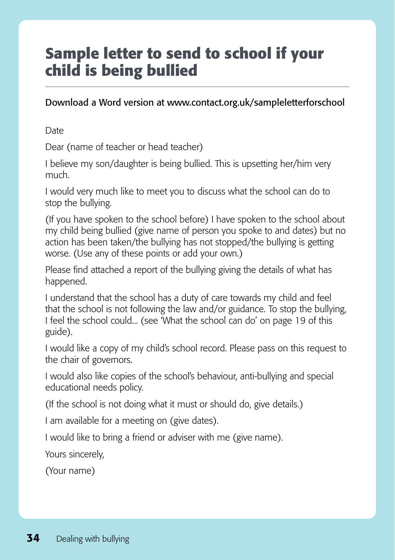### **Sample letter to send to school if your child is being bullied**

#### Download a Word version at www.contact.org.uk/sampleletterforschool

Date

Dear (name of teacher or head teacher)

I believe my son/daughter is being bullied. This is upsetting her/him very much.

I would very much like to meet you to discuss what the school can do to stop the bullying.

(If you have spoken to the school before) I have spoken to the school about my child being bullied (give name of person you spoke to and dates) but no action has been taken/the bullying has not stopped/the bullying is getting worse. (Use any of these points or add your own.)

Please find attached a report of the bullying giving the details of what has happened.

I understand that the school has a duty of care towards my child and feel that the school is not following the law and/or guidance. To stop the bullying, I feel the school could... (see 'What the school can do' on page 19 of this guide).

I would like a copy of my child's school record. Please pass on this request to the chair of governors.

I would also like copies of the school's behaviour, anti-bullying and special educational needs policy.

(If the school is not doing what it must or should do, give details.)

I am available for a meeting on (give dates).

I would like to bring a friend or adviser with me (give name).

Yours sincerely,

(Your name)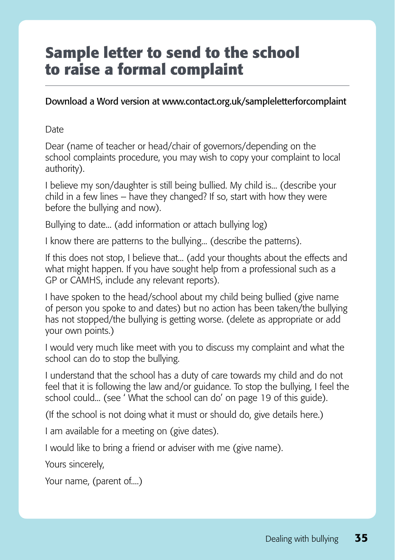### **Sample letter to send to the school to raise a formal complaint**

Download a Word version at www.contact.org.uk/sampleletterforcomplaint

**Date** 

Dear (name of teacher or head/chair of governors/depending on the school complaints procedure, you may wish to copy your complaint to local authority).

I believe my son/daughter is still being bullied. My child is... (describe your child in a few lines – have they changed? If so, start with how they were before the bullying and now).

Bullying to date... (add information or attach bullying log)

I know there are patterns to the bullying... (describe the patterns).

If this does not stop, I believe that... (add your thoughts about the effects and what might happen. If you have sought help from a professional such as a GP or CAMHS, include any relevant reports).

I have spoken to the head/school about my child being bullied (give name of person you spoke to and dates) but no action has been taken/the bullying has not stopped/the bullying is getting worse. (delete as appropriate or add your own points.)

I would very much like meet with you to discuss my complaint and what the school can do to stop the bullying.

I understand that the school has a duty of care towards my child and do not feel that it is following the law and/or guidance. To stop the bullying, I feel the school could... (see ' What the school can do' on page 19 of this guide).

(If the school is not doing what it must or should do, give details here.)

I am available for a meeting on (give dates).

I would like to bring a friend or adviser with me (give name).

Yours sincerely,

Your name, (parent of....)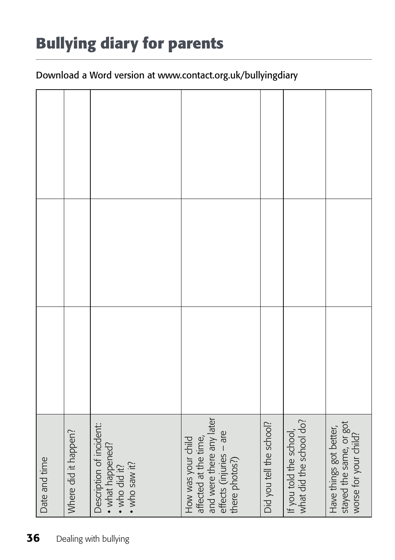## **Bullying diary for parents**

#### Download a Word version at www.contact.org.uk/bullyingdiary

| Date and time               | Where did it happen? | Description of incident:<br>• what happened?<br>• who did it?<br>· who saw it? | and were there any later<br>effects (injuries - are<br>affected at the time,<br>How was your child<br>there photos?) | Did you tell the school? | what did the school do?<br>If you told the school, | stayed the same, or got<br>worse for your child?<br>Have things got better, |  |  |
|-----------------------------|----------------------|--------------------------------------------------------------------------------|----------------------------------------------------------------------------------------------------------------------|--------------------------|----------------------------------------------------|-----------------------------------------------------------------------------|--|--|
| 36<br>Dealing with bullying |                      |                                                                                |                                                                                                                      |                          |                                                    |                                                                             |  |  |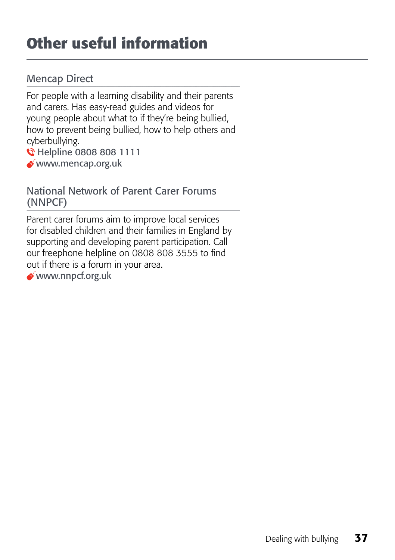### **Other useful information**

#### Mencap Direct

For people with a learning disability and their parents and carers. Has easy-read guides and videos for young people about what to if they're being bullied, how to prevent being bullied, how to help others and cyberbullying.

**C** Helpline 0808 808 1111

www.mencap.org.uk

#### National Network of Parent Carer Forums (NNPCF)

Parent carer forums aim to improve local services for disabled children and their families in England by supporting and developing parent participation. Call our freephone helpline on 0808 808 3555 to find out if there is a forum in your area.

www.nnpcf.org.uk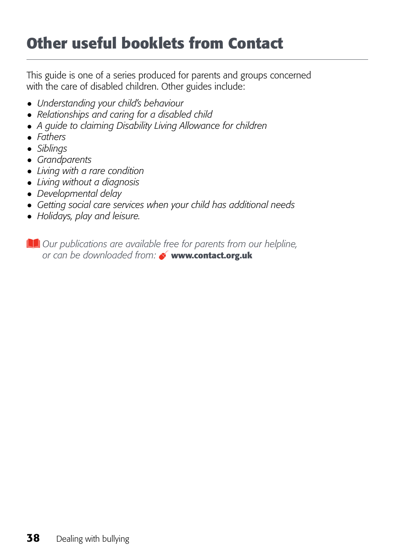### **Other useful booklets from Contact**

This guide is one of a series produced for parents and groups concerned with the care of disabled children. Other guides include:

- • *Understanding your child's behaviour*
- • *Relationships and caring for a disabled child*
- A guide to claiming Disability Living Allowance for children
- • *Fathers*
- • *Siblings*
- • *Grandparents*
- • *Living with a rare condition*
- • *Living without a diagnosis*
- • *Developmental delay*
- • *Getting social care services when your child has additional needs*
- • *Holidays, play and leisure.*

*Our publications are available free for parents from our helpline, or can be downloaded from:* **www.contact.org.uk**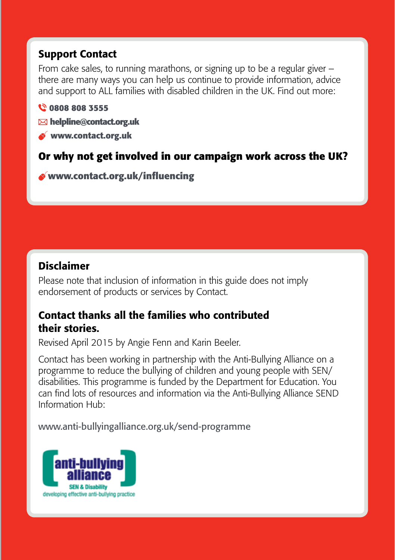#### Support Contact

From cake sales, to running marathons, or signing up to be a regular giver – there are many ways you can help us continue to provide information, advice and support to ALL families with disabled children in the UK. Find out more:

#### **0808 808 3555**

- **helpline@contact.org.uk**
- **www.contact.org.uk**

#### **Or why not get involved in our campaign work across the UK?**

**www.contact.org.uk/influencing**

#### Disclaimer

Please note that inclusion of information in this guide does not imply endorsement of products or services by Contact.

#### Contact thanks all the families who contributed their stories.

Revised April 2015 by Angie Fenn and Karin Beeler.

Contact has been working in partnership with the Anti-Bullying Alliance on a programme to reduce the bullying of children and young people with SEN/ disabilities. This programme is funded by the Department for Education. You can find lots of resources and information via the Anti-Bullying Alliance SEND Information Hub:

<www.anti-bullyingalliance.org.uk/send-programme>